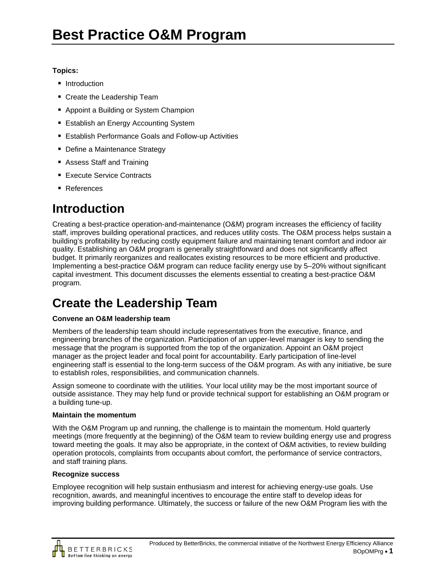### **Topics:**

- **Introduction**
- Create the Leadership Team
- Appoint a Building or System Champion
- **Establish an Energy Accounting System**
- Establish Performance Goals and Follow-up Activities
- Define a Maintenance Strategy
- Assess Staff and Training
- **Execute Service Contracts**
- References

# **Introduction**

Creating a best-practice operation-and-maintenance (O&M) program increases the efficiency of facility staff, improves building operational practices, and reduces utility costs. The O&M process helps sustain a building's profitability by reducing costly equipment failure and maintaining tenant comfort and indoor air quality. Establishing an O&M program is generally straightforward and does not significantly affect budget. It primarily reorganizes and reallocates existing resources to be more efficient and productive. Implementing a best-practice O&M program can reduce facility energy use by 5–20% without significant capital investment. This document discusses the elements essential to creating a best-practice O&M program.

# **Create the Leadership Team**

### **Convene an O&M leadership team**

Members of the leadership team should include representatives from the executive, finance, and engineering branches of the organization. Participation of an upper-level manager is key to sending the message that the program is supported from the top of the organization. Appoint an O&M project manager as the project leader and focal point for accountability. Early participation of line-level engineering staff is essential to the long-term success of the O&M program. As with any initiative, be sure to establish roles, responsibilities, and communication channels.

Assign someone to coordinate with the utilities. Your local utility may be the most important source of outside assistance. They may help fund or provide technical support for establishing an O&M program or a building tune-up.

#### **Maintain the momentum**

With the O&M Program up and running, the challenge is to maintain the momentum. Hold quarterly meetings (more frequently at the beginning) of the O&M team to review building energy use and progress toward meeting the goals. It may also be appropriate, in the context of O&M activities, to review building operation protocols, complaints from occupants about comfort, the performance of service contractors, and staff training plans.

#### **Recognize success**

Employee recognition will help sustain enthusiasm and interest for achieving energy-use goals. Use recognition, awards, and meaningful incentives to encourage the entire staff to develop ideas for improving building performance. Ultimately, the success or failure of the new O&M Program lies with the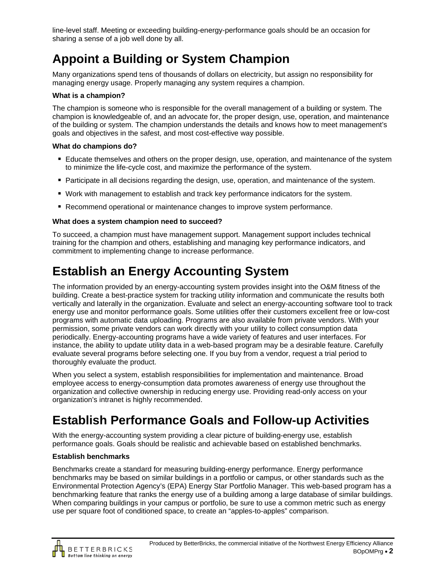line-level staff. Meeting or exceeding building-energy-performance goals should be an occasion for sharing a sense of a job well done by all.

# **Appoint a Building or System Champion**

Many organizations spend tens of thousands of dollars on electricity, but assign no responsibility for managing energy usage. Properly managing any system requires a champion.

### **What is a champion?**

The champion is someone who is responsible for the overall management of a building or system. The champion is knowledgeable of, and an advocate for, the proper design, use, operation, and maintenance of the building or system. The champion understands the details and knows how to meet management's goals and objectives in the safest, and most cost-effective way possible.

### **What do champions do?**

- Educate themselves and others on the proper design, use, operation, and maintenance of the system to minimize the life-cycle cost, and maximize the performance of the system.
- **Participate in all decisions regarding the design, use, operation, and maintenance of the system.**
- Work with management to establish and track key performance indicators for the system.
- **Recommend operational or maintenance changes to improve system performance.**

### **What does a system champion need to succeed?**

To succeed, a champion must have management support. Management support includes technical training for the champion and others, establishing and managing key performance indicators, and commitment to implementing change to increase performance.

# **Establish an Energy Accounting System**

The information provided by an energy-accounting system provides insight into the O&M fitness of the building. Create a best-practice system for tracking utility information and communicate the results both vertically and laterally in the organization. Evaluate and select an energy-accounting software tool to track energy use and monitor performance goals. Some utilities offer their customers excellent free or low-cost programs with automatic data uploading. Programs are also available from private vendors. With your permission, some private vendors can work directly with your utility to collect consumption data periodically. Energy-accounting programs have a wide variety of features and user interfaces. For instance, the ability to update utility data in a web-based program may be a desirable feature. Carefully evaluate several programs before selecting one. If you buy from a vendor, request a trial period to thoroughly evaluate the product.

When you select a system, establish responsibilities for implementation and maintenance. Broad employee access to energy-consumption data promotes awareness of energy use throughout the organization and collective ownership in reducing energy use. Providing read-only access on your organization's intranet is highly recommended.

### **Establish Performance Goals and Follow-up Activities**

With the energy-accounting system providing a clear picture of building-energy use, establish performance goals. Goals should be realistic and achievable based on established benchmarks.

### **Establish benchmarks**

Benchmarks create a standard for measuring building-energy performance. Energy performance benchmarks may be based on similar buildings in a portfolio or campus, or other standards such as the Environmental Protection Agency's (EPA) Energy Star Portfolio Manager. This web-based program has a benchmarking feature that ranks the energy use of a building among a large database of similar buildings. When comparing buildings in your campus or portfolio, be sure to use a common metric such as energy use per square foot of conditioned space, to create an "apples-to-apples" comparison.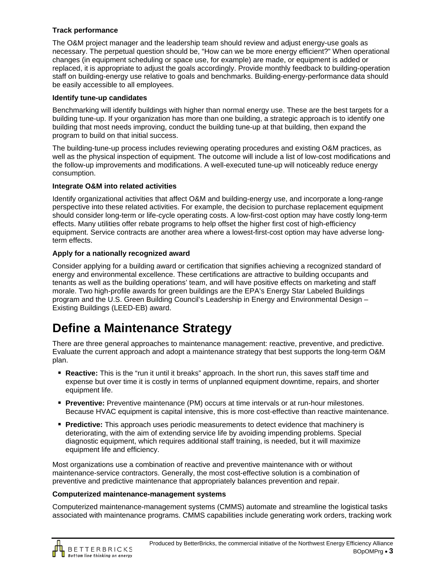### **Track performance**

The O&M project manager and the leadership team should review and adjust energy-use goals as necessary. The perpetual question should be, "How can we be more energy efficient?" When operational changes (in equipment scheduling or space use, for example) are made, or equipment is added or replaced, it is appropriate to adjust the goals accordingly. Provide monthly feedback to building-operation staff on building-energy use relative to goals and benchmarks. Building-energy-performance data should be easily accessible to all employees.

#### **Identify tune-up candidates**

Benchmarking will identify buildings with higher than normal energy use. These are the best targets for a building tune-up. If your organization has more than one building, a strategic approach is to identify one building that most needs improving, conduct the building tune-up at that building, then expand the program to build on that initial success.

The building-tune-up process includes reviewing operating procedures and existing O&M practices, as well as the physical inspection of equipment. The outcome will include a list of low-cost modifications and the follow-up improvements and modifications. A well-executed tune-up will noticeably reduce energy consumption.

#### **Integrate O&M into related activities**

Identify organizational activities that affect O&M and building-energy use, and incorporate a long-range perspective into these related activities. For example, the decision to purchase replacement equipment should consider long-term or life-cycle operating costs. A low-first-cost option may have costly long-term effects. Many utilities offer rebate programs to help offset the higher first cost of high-efficiency equipment. Service contracts are another area where a lowest-first-cost option may have adverse longterm effects.

#### **Apply for a nationally recognized award**

Consider applying for a building award or certification that signifies achieving a recognized standard of energy and environmental excellence. These certifications are attractive to building occupants and tenants as well as the building operations' team, and will have positive effects on marketing and staff morale. Two high-profile awards for green buildings are the EPA's Energy Star Labeled Buildings program and the U.S. Green Building Council's Leadership in Energy and Environmental Design – Existing Buildings (LEED-EB) award.

### **Define a Maintenance Strategy**

There are three general approaches to maintenance management: reactive, preventive, and predictive. Evaluate the current approach and adopt a maintenance strategy that best supports the long-term O&M plan.

- **Reactive:** This is the "run it until it breaks" approach. In the short run, this saves staff time and expense but over time it is costly in terms of unplanned equipment downtime, repairs, and shorter equipment life.
- **Preventive:** Preventive maintenance (PM) occurs at time intervals or at run-hour milestones. Because HVAC equipment is capital intensive, this is more cost-effective than reactive maintenance.
- **Predictive:** This approach uses periodic measurements to detect evidence that machinery is deteriorating, with the aim of extending service life by avoiding impending problems. Special diagnostic equipment, which requires additional staff training, is needed, but it will maximize equipment life and efficiency.

Most organizations use a combination of reactive and preventive maintenance with or without maintenance-service contractors. Generally, the most cost-effective solution is a combination of preventive and predictive maintenance that appropriately balances prevention and repair.

#### **Computerized maintenance-management systems**

Computerized maintenance-management systems (CMMS) automate and streamline the logistical tasks associated with maintenance programs. CMMS capabilities include generating work orders, tracking work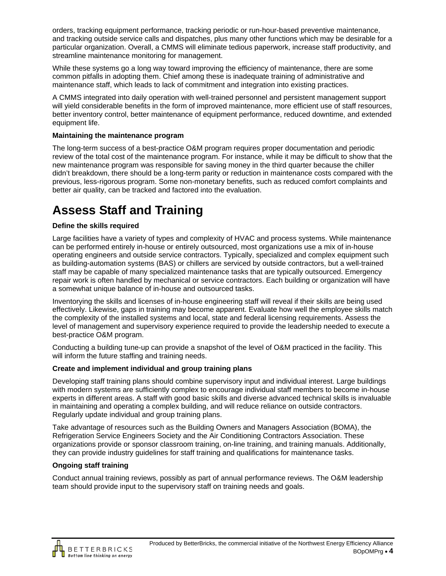orders, tracking equipment performance, tracking periodic or run-hour-based preventive maintenance, and tracking outside service calls and dispatches, plus many other functions which may be desirable for a particular organization. Overall, a CMMS will eliminate tedious paperwork, increase staff productivity, and streamline maintenance monitoring for management.

While these systems go a long way toward improving the efficiency of maintenance, there are some common pitfalls in adopting them. Chief among these is inadequate training of administrative and maintenance staff, which leads to lack of commitment and integration into existing practices.

A CMMS integrated into daily operation with well-trained personnel and persistent management support will yield considerable benefits in the form of improved maintenance, more efficient use of staff resources, better inventory control, better maintenance of equipment performance, reduced downtime, and extended equipment life.

#### **Maintaining the maintenance program**

The long-term success of a best-practice O&M program requires proper documentation and periodic review of the total cost of the maintenance program. For instance, while it may be difficult to show that the new maintenance program was responsible for saving money in the third quarter because the chiller didn't breakdown, there should be a long-term parity or reduction in maintenance costs compared with the previous, less-rigorous program. Some non-monetary benefits, such as reduced comfort complaints and better air quality, can be tracked and factored into the evaluation.

### **Assess Staff and Training**

#### **Define the skills required**

Large facilities have a variety of types and complexity of HVAC and process systems. While maintenance can be performed entirely in-house or entirely outsourced, most organizations use a mix of in-house operating engineers and outside service contractors. Typically, specialized and complex equipment such as building-automation systems (BAS) or chillers are serviced by outside contractors, but a well-trained staff may be capable of many specialized maintenance tasks that are typically outsourced. Emergency repair work is often handled by mechanical or service contractors. Each building or organization will have a somewhat unique balance of in-house and outsourced tasks.

Inventorying the skills and licenses of in-house engineering staff will reveal if their skills are being used effectively. Likewise, gaps in training may become apparent. Evaluate how well the employee skills match the complexity of the installed systems and local, state and federal licensing requirements. Assess the level of management and supervisory experience required to provide the leadership needed to execute a best-practice O&M program.

Conducting a building tune-up can provide a snapshot of the level of O&M practiced in the facility. This will inform the future staffing and training needs.

#### **Create and implement individual and group training plans**

Developing staff training plans should combine supervisory input and individual interest. Large buildings with modern systems are sufficiently complex to encourage individual staff members to become in-house experts in different areas. A staff with good basic skills and diverse advanced technical skills is invaluable in maintaining and operating a complex building, and will reduce reliance on outside contractors. Regularly update individual and group training plans.

Take advantage of resources such as the Building Owners and Managers Association (BOMA), the Refrigeration Service Engineers Society and the Air Conditioning Contractors Association. These organizations provide or sponsor classroom training, on-line training, and training manuals. Additionally, they can provide industry guidelines for staff training and qualifications for maintenance tasks.

#### **Ongoing staff training**

Conduct annual training reviews, possibly as part of annual performance reviews. The O&M leadership team should provide input to the supervisory staff on training needs and goals.